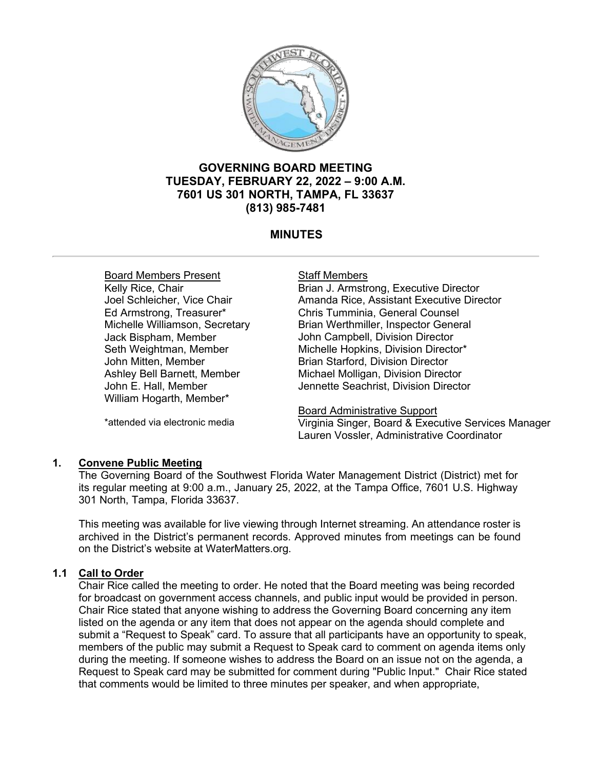

# **GOVERNING BOARD MEETING TUESDAY, FEBRUARY 22, 2022 – 9:00 A.M. 7601 US 301 NORTH, TAMPA, FL 33637 (813) 985-7481**

# **MINUTES**

Board Members Present Kelly Rice, Chair Joel Schleicher, Vice Chair Ed Armstrong, Treasurer\* Michelle Williamson, Secretary Jack Bispham, Member Seth Weightman, Member John Mitten, Member Ashley Bell Barnett, Member John E. Hall, Member William Hogarth, Member\*

\*attended via electronic media

### Staff Members

Brian J. Armstrong, Executive Director Amanda Rice, Assistant Executive Director Chris Tumminia, General Counsel Brian Werthmiller, Inspector General John Campbell, Division Director Michelle Hopkins, Division Director\* Brian Starford, Division Director Michael Molligan, Division Director Jennette Seachrist, Division Director

### Board Administrative Support

Virginia Singer, Board & Executive Services Manager Lauren Vossler, Administrative Coordinator

# **1. Convene Public Meeting**

The Governing Board of the Southwest Florida Water Management District (District) met for its regular meeting at 9:00 a.m., January 25, 2022, at the Tampa Office, 7601 U.S. Highway 301 North, Tampa, Florida 33637.

This meeting was available for live viewing through Internet streaming. An attendance roster is archived in the District's permanent records. Approved minutes from meetings can be found on the District's website at WaterMatters.org.

# **1.1 Call to Order**

Chair Rice called the meeting to order. He noted that the Board meeting was being recorded for broadcast on government access channels, and public input would be provided in person. Chair Rice stated that anyone wishing to address the Governing Board concerning any item listed on the agenda or any item that does not appear on the agenda should complete and submit a "Request to Speak" card. To assure that all participants have an opportunity to speak, members of the public may submit a Request to Speak card to comment on agenda items only during the meeting. If someone wishes to address the Board on an issue not on the agenda, a Request to Speak card may be submitted for comment during "Public Input." Chair Rice stated that comments would be limited to three minutes per speaker, and when appropriate,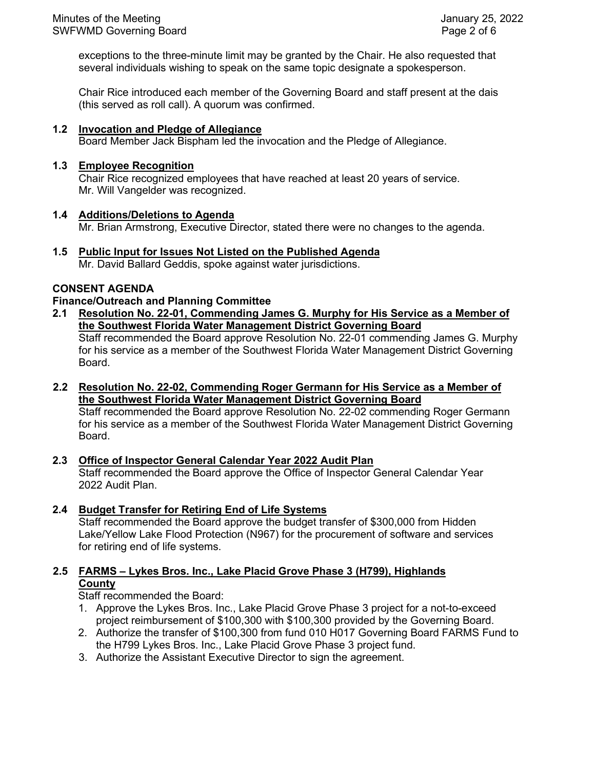exceptions to the three-minute limit may be granted by the Chair. He also requested that several individuals wishing to speak on the same topic designate a spokesperson.

Chair Rice introduced each member of the Governing Board and staff present at the dais (this served as roll call). A quorum was confirmed.

# **1.2 Invocation and Pledge of Allegiance**

Board Member Jack Bispham led the invocation and the Pledge of Allegiance.

# **1.3 Employee Recognition**

Chair Rice recognized employees that have reached at least 20 years of service. Mr. Will Vangelder was recognized.

### **1.4 Additions/Deletions to Agenda**

Mr. Brian Armstrong, Executive Director, stated there were no changes to the agenda.

**1.5 Public Input for Issues Not Listed on the Published Agenda** Mr. David Ballard Geddis, spoke against water jurisdictions.

# **CONSENT AGENDA**

### **Finance/Outreach and Planning Committee**

**2.1 Resolution No. 22-01, Commending James G. Murphy for His Service as a Member of the Southwest Florida Water Management District Governing Board**

Staff recommended the Board approve Resolution No. 22-01 commending James G. Murphy for his service as a member of the Southwest Florida Water Management District Governing Board.

**2.2 Resolution No. 22-02, Commending Roger Germann for His Service as a Member of the Southwest Florida Water Management District Governing Board**

Staff recommended the Board approve Resolution No. 22-02 commending Roger Germann for his service as a member of the Southwest Florida Water Management District Governing Board.

# **2.3 Office of Inspector General Calendar Year 2022 Audit Plan**

Staff recommended the Board approve the Office of Inspector General Calendar Year 2022 Audit Plan.

**2.4 Budget Transfer for Retiring End of Life Systems**

Staff recommended the Board approve the budget transfer of \$300,000 from Hidden Lake/Yellow Lake Flood Protection (N967) for the procurement of software and services for retiring end of life systems.

# **2.5 FARMS – Lykes Bros. Inc., Lake Placid Grove Phase 3 (H799), Highlands County**

Staff recommended the Board:

- 1. Approve the Lykes Bros. Inc., Lake Placid Grove Phase 3 project for a not-to-exceed project reimbursement of \$100,300 with \$100,300 provided by the Governing Board.
- 2. Authorize the transfer of \$100,300 from fund 010 H017 Governing Board FARMS Fund to the H799 Lykes Bros. Inc., Lake Placid Grove Phase 3 project fund.
- 3. Authorize the Assistant Executive Director to sign the agreement.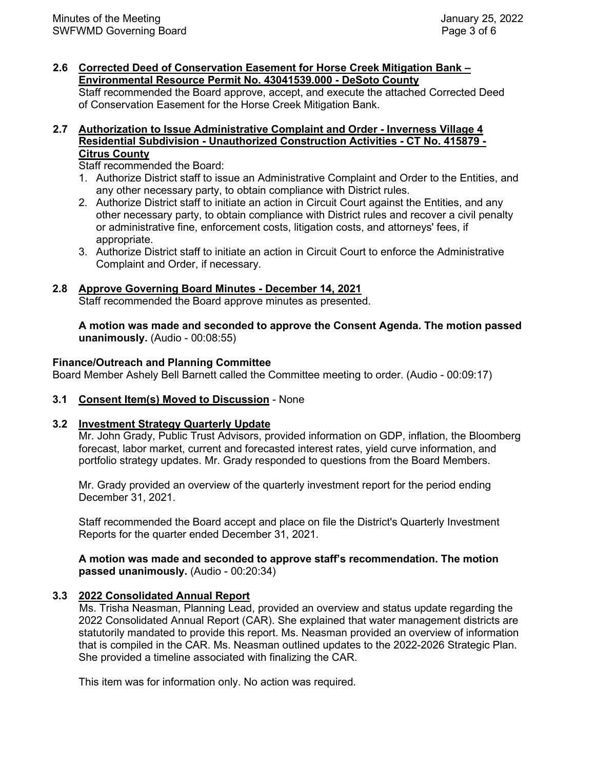**2.6 Corrected Deed of Conservation Easement for Horse Creek Mitigation Bank – Environmental Resource Permit No. 43041539.000 - DeSoto County**

Staff recommended the Board approve, accept, and execute the attached Corrected Deed of Conservation Easement for the Horse Creek Mitigation Bank.

**2.7 Authorization to Issue Administrative Complaint and Order - Inverness Village 4 Residential Subdivision - Unauthorized Construction Activities - CT No. 415879 - Citrus County**

Staff recommended the Board:

- 1. Authorize District staff to issue an Administrative Complaint and Order to the Entities, and any other necessary party, to obtain compliance with District rules.
- 2. Authorize District staff to initiate an action in Circuit Court against the Entities, and any other necessary party, to obtain compliance with District rules and recover a civil penalty or administrative fine, enforcement costs, litigation costs, and attorneys' fees, if appropriate.
- 3. Authorize District staff to initiate an action in Circuit Court to enforce the Administrative Complaint and Order, if necessary.

# **2.8 Approve Governing Board Minutes - December 14, 2021**

Staff recommended the Board approve minutes as presented.

**A motion was made and seconded to approve the Consent Agenda. The motion passed unanimously.** (Audio - 00:08:55)

### **Finance/Outreach and Planning Committee**

Board Member Ashely Bell Barnett called the Committee meeting to order. (Audio - 00:09:17)

### **3.1 Consent Item(s) Moved to Discussion** - None

### **3.2 Investment Strategy Quarterly Update**

Mr. John Grady, Public Trust Advisors, provided information on GDP, inflation, the Bloomberg forecast, labor market, current and forecasted interest rates, yield curve information, and portfolio strategy updates. Mr. Grady responded to questions from the Board Members.

Mr. Grady provided an overview of the quarterly investment report for the period ending December 31, 2021.

Staff recommended the Board accept and place on file the District's Quarterly Investment Reports for the quarter ended December 31, 2021.

**A motion was made and seconded to approve staff's recommendation. The motion passed unanimously.** (Audio - 00:20:34)

# **3.3 2022 Consolidated Annual Report**

Ms. Trisha Neasman, Planning Lead, provided an overview and status update regarding the 2022 Consolidated Annual Report (CAR). She explained that water management districts are statutorily mandated to provide this report. Ms. Neasman provided an overview of information that is compiled in the CAR. Ms. Neasman outlined updates to the 2022-2026 Strategic Plan. She provided a timeline associated with finalizing the CAR.

This item was for information only. No action was required.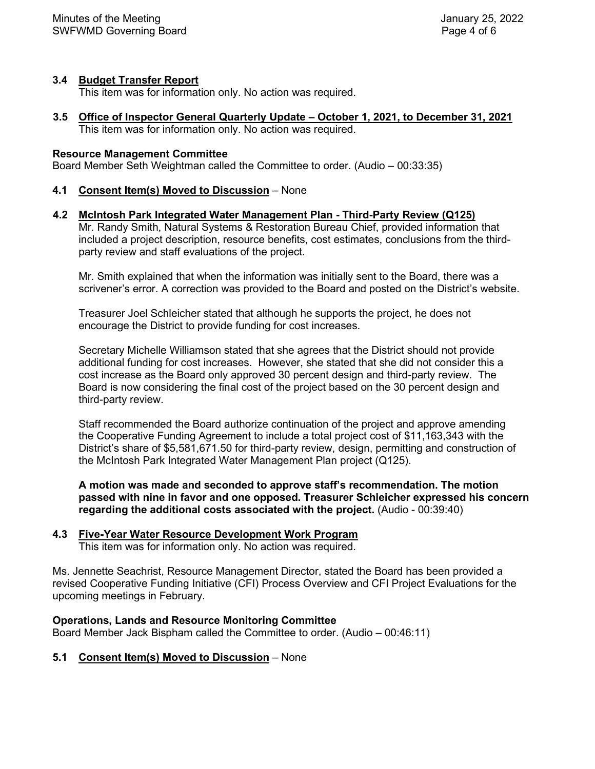# **3.4 Budget Transfer Report**

This item was for information only. No action was required.

**3.5 Office of Inspector General Quarterly Update – October 1, 2021, to December 31, 2021**  This item was for information only. No action was required.

#### **Resource Management Committee**

Board Member Seth Weightman called the Committee to order. (Audio – 00:33:35)

### **4.1 Consent Item(s) Moved to Discussion** – None

#### **4.2 McIntosh Park Integrated Water Management Plan - Third-Party Review (Q125)** Mr. Randy Smith, Natural Systems & Restoration Bureau Chief, provided information that included a project description, resource benefits, cost estimates, conclusions from the thirdparty review and staff evaluations of the project.

Mr. Smith explained that when the information was initially sent to the Board, there was a scrivener's error. A correction was provided to the Board and posted on the District's website.

Treasurer Joel Schleicher stated that although he supports the project, he does not encourage the District to provide funding for cost increases.

Secretary Michelle Williamson stated that she agrees that the District should not provide additional funding for cost increases. However, she stated that she did not consider this a cost increase as the Board only approved 30 percent design and third-party review. The Board is now considering the final cost of the project based on the 30 percent design and third-party review.

Staff recommended the Board authorize continuation of the project and approve amending the Cooperative Funding Agreement to include a total project cost of \$11,163,343 with the District's share of \$5,581,671.50 for third-party review, design, permitting and construction of the McIntosh Park Integrated Water Management Plan project (Q125).

**A motion was made and seconded to approve staff's recommendation. The motion passed with nine in favor and one opposed. Treasurer Schleicher expressed his concern regarding the additional costs associated with the project.** (Audio - 00:39:40)

# **4.3 Five-Year Water Resource Development Work Program**

This item was for information only. No action was required.

Ms. Jennette Seachrist, Resource Management Director, stated the Board has been provided a revised Cooperative Funding Initiative (CFI) Process Overview and CFI Project Evaluations for the upcoming meetings in February.

# **Operations, Lands and Resource Monitoring Committee**

Board Member Jack Bispham called the Committee to order. (Audio – 00:46:11)

### **5.1 Consent Item(s) Moved to Discussion** – None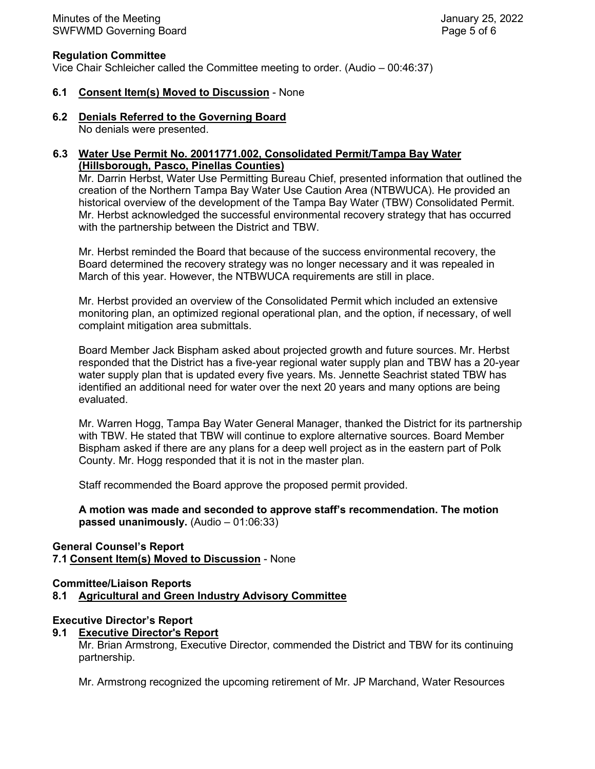### **Regulation Committee**

Vice Chair Schleicher called the Committee meeting to order. (Audio – 00:46:37)

## **6.1 Consent Item(s) Moved to Discussion** - None

**6.2 Denials Referred to the Governing Board** No denials were presented.

### **6.3 Water Use Permit No. 20011771.002, Consolidated Permit/Tampa Bay Water (Hillsborough, Pasco, Pinellas Counties)**

Mr. Darrin Herbst, Water Use Permitting Bureau Chief, presented information that outlined the creation of the Northern Tampa Bay Water Use Caution Area (NTBWUCA). He provided an historical overview of the development of the Tampa Bay Water (TBW) Consolidated Permit. Mr. Herbst acknowledged the successful environmental recovery strategy that has occurred with the partnership between the District and TBW.

Mr. Herbst reminded the Board that because of the success environmental recovery, the Board determined the recovery strategy was no longer necessary and it was repealed in March of this year. However, the NTBWUCA requirements are still in place.

Mr. Herbst provided an overview of the Consolidated Permit which included an extensive monitoring plan, an optimized regional operational plan, and the option, if necessary, of well complaint mitigation area submittals.

Board Member Jack Bispham asked about projected growth and future sources. Mr. Herbst responded that the District has a five-year regional water supply plan and TBW has a 20-year water supply plan that is updated every five years. Ms. Jennette Seachrist stated TBW has identified an additional need for water over the next 20 years and many options are being evaluated.

Mr. Warren Hogg, Tampa Bay Water General Manager, thanked the District for its partnership with TBW. He stated that TBW will continue to explore alternative sources. Board Member Bispham asked if there are any plans for a deep well project as in the eastern part of Polk County. Mr. Hogg responded that it is not in the master plan.

Staff recommended the Board approve the proposed permit provided.

**A motion was made and seconded to approve staff's recommendation. The motion passed unanimously.** (Audio – 01:06:33)

# **General Counsel's Report 7.1 Consent Item(s) Moved to Discussion** - None

# **Committee/Liaison Reports**

**8.1 Agricultural and Green Industry Advisory Committee**

# **Executive Director's Report**

**9.1 Executive Director's Report**

Mr. Brian Armstrong, Executive Director, commended the District and TBW for its continuing partnership.

Mr. Armstrong recognized the upcoming retirement of Mr. JP Marchand, Water Resources